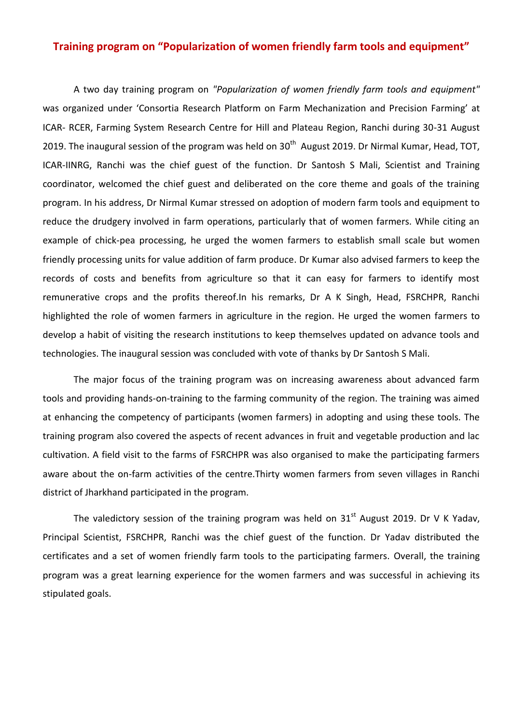## **Training program on "Popularization of women friendly farm tools and equipment"**

A two day training program on *"Popularization of women friendly farm tools and equipment"* was organized under 'Consortia Research Platform on Farm Mechanization and Precision Farming' at ICAR- RCER, Farming System Research Centre for Hill and Plateau Region, Ranchi during 30-31 August 2019. The inaugural session of the program was held on  $30<sup>th</sup>$  August 2019. Dr Nirmal Kumar, Head, TOT, ICAR-IINRG, Ranchi was the chief guest of the function. Dr Santosh S Mali, Scientist and Training coordinator, welcomed the chief guest and deliberated on the core theme and goals of the training program. In his address, Dr Nirmal Kumar stressed on adoption of modern farm tools and equipment to reduce the drudgery involved in farm operations, particularly that of women farmers. While citing an example of chick-pea processing, he urged the women farmers to establish small scale but women friendly processing units for value addition of farm produce. Dr Kumar also advised farmers to keep the records of costs and benefits from agriculture so that it can easy for farmers to identify most remunerative crops and the profits thereof.In his remarks, Dr A K Singh, Head, FSRCHPR, Ranchi highlighted the role of women farmers in agriculture in the region. He urged the women farmers to develop a habit of visiting the research institutions to keep themselves updated on advance tools and technologies. The inaugural session was concluded with vote of thanks by Dr Santosh S Mali.

The major focus of the training program was on increasing awareness about advanced farm tools and providing hands-on-training to the farming community of the region. The training was aimed at enhancing the competency of participants (women farmers) in adopting and using these tools. The training program also covered the aspects of recent advances in fruit and vegetable production and lac cultivation. A field visit to the farms of FSRCHPR was also organised to make the participating farmers aware about the on-farm activities of the centre.Thirty women farmers from seven villages in Ranchi district of Jharkhand participated in the program.

The valedictory session of the training program was held on  $31<sup>st</sup>$  August 2019. Dr V K Yadav, Principal Scientist, FSRCHPR, Ranchi was the chief guest of the function. Dr Yadav distributed the certificates and a set of women friendly farm tools to the participating farmers. Overall, the training program was a great learning experience for the women farmers and was successful in achieving its stipulated goals.